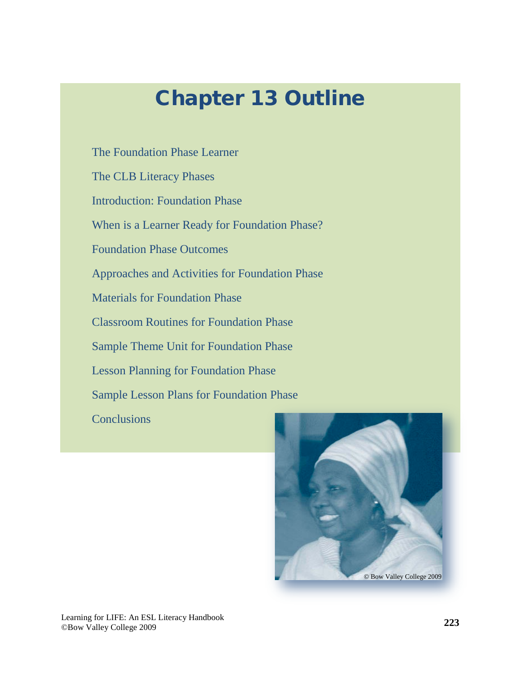## Chapter 13 Outline

[The Foundation Phase Learner](#page-2-0)

[The CLB Literacy Phases](#page-3-0)

[Introduction: Foundation Phase](#page-4-0)

[When is a Learner Ready for Foundation Phase?](#page-7-0)

[Foundation Phase Outcomes](#page-7-0)

[Approaches and Activities for Foundation Phase](#page-11-0)

[Materials for Foundation Phase](#page-15-0)

[Classroom Routines for Foundation Phase](#page-23-0)

[Sample Theme Unit for Foundation Phase](#page-25-0)

[Lesson Planning for Foundation Phase](#page-29-0)

[Sample Lesson Plans for Foundation Phase](#page-30-0)

**[Conclusions](#page-34-0)** 

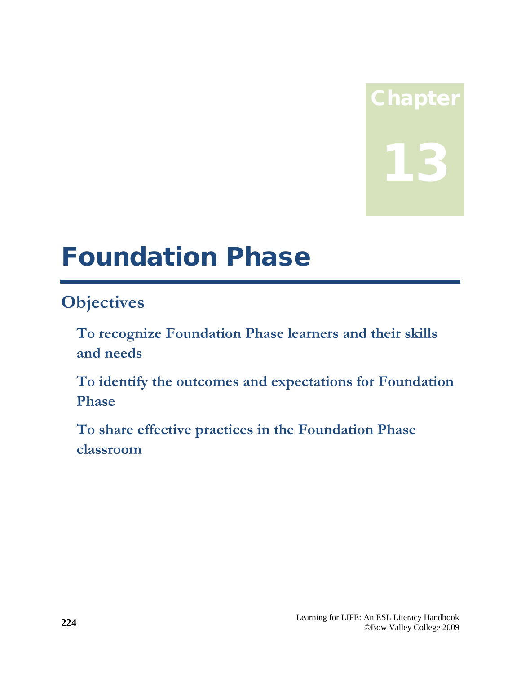# Chapter 13

## Foundation Phase

## **Objectives**

- **To recognize Foundation Phase learners and their skills and needs**
- **To identify the outcomes and expectations for Foundation Phase**
- **To share effective practices in the Foundation Phase classroom**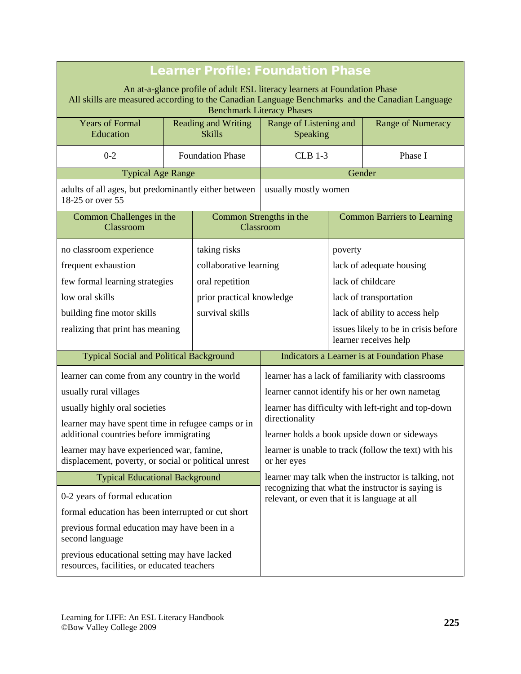<span id="page-2-0"></span>

| <b>Learner Profile: Foundation Phase</b>                                                                                                                                                                         |  |                                                                                                           |                                              |                                                   |                                                               |  |
|------------------------------------------------------------------------------------------------------------------------------------------------------------------------------------------------------------------|--|-----------------------------------------------------------------------------------------------------------|----------------------------------------------|---------------------------------------------------|---------------------------------------------------------------|--|
| An at-a-glance profile of adult ESL literacy learners at Foundation Phase<br>All skills are measured according to the Canadian Language Benchmarks and the Canadian Language<br><b>Benchmark Literacy Phases</b> |  |                                                                                                           |                                              |                                                   |                                                               |  |
| <b>Years of Formal</b><br>Education                                                                                                                                                                              |  | <b>Reading and Writing</b><br><b>Skills</b>                                                               | Range of Listening and<br>Speaking           |                                                   | Range of Numeracy                                             |  |
| $0 - 2$                                                                                                                                                                                                          |  | <b>Foundation Phase</b>                                                                                   | <b>CLB 1-3</b>                               |                                                   | Phase I                                                       |  |
| <b>Typical Age Range</b>                                                                                                                                                                                         |  |                                                                                                           |                                              | Gender                                            |                                                               |  |
| adults of all ages, but predominantly either between<br>18-25 or over 55                                                                                                                                         |  |                                                                                                           |                                              | usually mostly women                              |                                                               |  |
| Common Challenges in the<br>Classroom                                                                                                                                                                            |  |                                                                                                           | Common Strengths in the<br>Classroom         |                                                   | <b>Common Barriers to Learning</b>                            |  |
| no classroom experience                                                                                                                                                                                          |  | taking risks                                                                                              |                                              | poverty                                           |                                                               |  |
| frequent exhaustion                                                                                                                                                                                              |  | collaborative learning                                                                                    |                                              |                                                   | lack of adequate housing                                      |  |
| few formal learning strategies                                                                                                                                                                                   |  | oral repetition                                                                                           |                                              | lack of childcare                                 |                                                               |  |
| low oral skills                                                                                                                                                                                                  |  | prior practical knowledge                                                                                 |                                              | lack of transportation                            |                                                               |  |
| building fine motor skills                                                                                                                                                                                       |  | survival skills                                                                                           |                                              | lack of ability to access help                    |                                                               |  |
| realizing that print has meaning                                                                                                                                                                                 |  |                                                                                                           |                                              |                                                   | issues likely to be in crisis before<br>learner receives help |  |
| <b>Typical Social and Political Background</b>                                                                                                                                                                   |  |                                                                                                           |                                              |                                                   | Indicators a Learner is at Foundation Phase                   |  |
| learner can come from any country in the world                                                                                                                                                                   |  |                                                                                                           |                                              | learner has a lack of familiarity with classrooms |                                                               |  |
| usually rural villages                                                                                                                                                                                           |  |                                                                                                           |                                              | learner cannot identify his or her own nametag    |                                                               |  |
| usually highly oral societies                                                                                                                                                                                    |  | learner has difficulty with left-right and top-down                                                       |                                              |                                                   |                                                               |  |
| learner may have spent time in refugee camps or in                                                                                                                                                               |  |                                                                                                           | directionality                               |                                                   |                                                               |  |
| additional countries before immigrating                                                                                                                                                                          |  |                                                                                                           | learner holds a book upside down or sideways |                                                   |                                                               |  |
| learner may have experienced war, famine,<br>displacement, poverty, or social or political unrest                                                                                                                |  | learner is unable to track (follow the text) with his<br>or her eyes                                      |                                              |                                                   |                                                               |  |
| <b>Typical Educational Background</b>                                                                                                                                                                            |  | learner may talk when the instructor is talking, not<br>recognizing that what the instructor is saying is |                                              |                                                   |                                                               |  |
| 0-2 years of formal education                                                                                                                                                                                    |  | relevant, or even that it is language at all                                                              |                                              |                                                   |                                                               |  |
| formal education has been interrupted or cut short                                                                                                                                                               |  |                                                                                                           |                                              |                                                   |                                                               |  |
| previous formal education may have been in a<br>second language                                                                                                                                                  |  |                                                                                                           |                                              |                                                   |                                                               |  |
| previous educational setting may have lacked<br>resources, facilities, or educated teachers                                                                                                                      |  |                                                                                                           |                                              |                                                   |                                                               |  |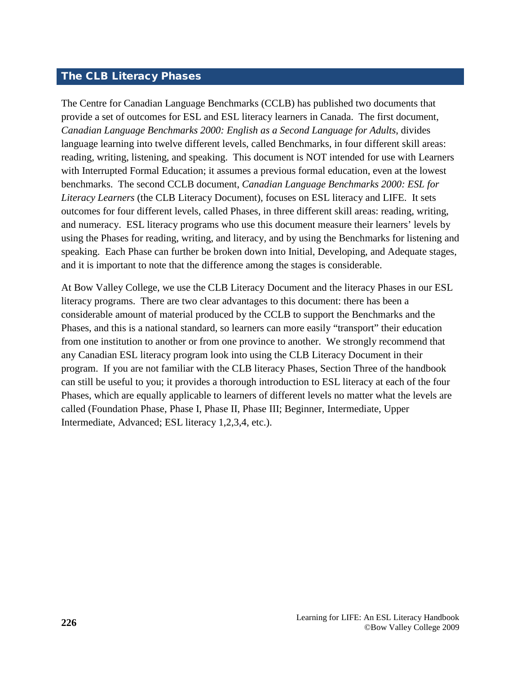#### <span id="page-3-0"></span>The CLB Literacy Phases

The Centre for Canadian Language Benchmarks (CCLB) has published two documents that provide a set of outcomes for ESL and ESL literacy learners in Canada. The first document, *Canadian Language Benchmarks 2000: English as a Second Language for Adults*, divides language learning into twelve different levels, called Benchmarks, in four different skill areas: reading, writing, listening, and speaking. This document is NOT intended for use with Learners with Interrupted Formal Education; it assumes a previous formal education, even at the lowest benchmarks. The second CCLB document, *Canadian Language Benchmarks 2000: ESL for Literacy Learners* (the CLB Literacy Document)*,* focuses on ESL literacy and LIFE. It sets outcomes for four different levels, called Phases, in three different skill areas: reading, writing, and numeracy. ESL literacy programs who use this document measure their learners' levels by using the Phases for reading, writing, and literacy, and by using the Benchmarks for listening and speaking. Each Phase can further be broken down into Initial, Developing, and Adequate stages, and it is important to note that the difference among the stages is considerable.

At Bow Valley College, we use the CLB Literacy Document and the literacy Phases in our ESL literacy programs. There are two clear advantages to this document: there has been a considerable amount of material produced by the CCLB to support the Benchmarks and the Phases, and this is a national standard, so learners can more easily "transport" their education from one institution to another or from one province to another. We strongly recommend that any Canadian ESL literacy program look into using the CLB Literacy Document in their program. If you are not familiar with the CLB literacy Phases, Section Three of the handbook can still be useful to you; it provides a thorough introduction to ESL literacy at each of the four Phases, which are equally applicable to learners of different levels no matter what the levels are called (Foundation Phase, Phase I, Phase II, Phase III; Beginner, Intermediate, Upper Intermediate, Advanced; ESL literacy 1,2,3,4, etc.).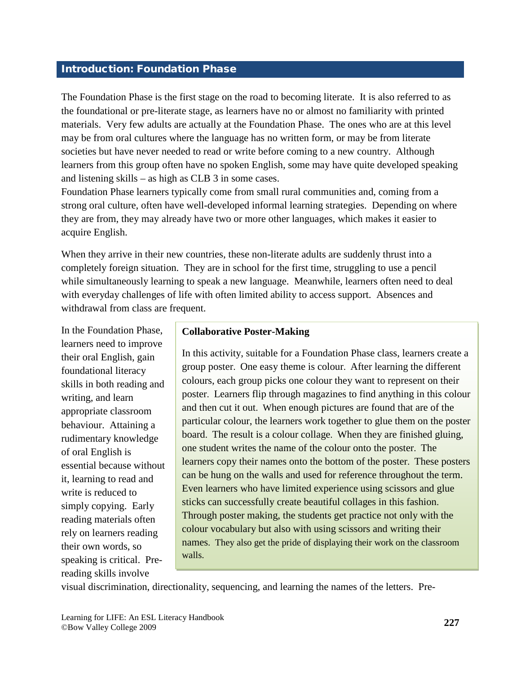#### <span id="page-4-0"></span>Introduction: Foundation Phase

The Foundation Phase is the first stage on the road to becoming literate. It is also referred to as the foundational or pre-literate stage, as learners have no or almost no familiarity with printed materials. Very few adults are actually at the Foundation Phase. The ones who are at this level may be from oral cultures where the language has no written form, or may be from literate societies but have never needed to read or write before coming to a new country. Although learners from this group often have no spoken English, some may have quite developed speaking and listening skills – as high as CLB 3 in some cases.

Foundation Phase learners typically come from small rural communities and, coming from a strong oral culture, often have well-developed informal learning strategies. Depending on where they are from, they may already have two or more other languages, which makes it easier to acquire English.

When they arrive in their new countries, these non-literate adults are suddenly thrust into a completely foreign situation. They are in school for the first time, struggling to use a pencil while simultaneously learning to speak a new language. Meanwhile, learners often need to deal with everyday challenges of life with often limited ability to access support. Absences and withdrawal from class are frequent.

In the Foundation Phase, learners need to improve their oral English, gain foundational literacy skills in both reading and writing, and learn appropriate classroom behaviour. Attaining a rudimentary knowledge of oral English is essential because without it, learning to read and write is reduced to simply copying. Early reading materials often rely on learners reading their own words, so speaking is critical. Prereading skills involve

#### **Collaborative Poster-Making**

In this activity, suitable for a Foundation Phase class, learners create a group poster. One easy theme is colour. After learning the different colours, each group picks one colour they want to represent on their poster. Learners flip through magazines to find anything in this colour and then cut it out. When enough pictures are found that are of the particular colour, the learners work together to glue them on the poster board. The result is a colour collage. When they are finished gluing, one student writes the name of the colour onto the poster. The learners copy their names onto the bottom of the poster. These posters can be hung on the walls and used for reference throughout the term. Even learners who have limited experience using scissors and glue sticks can successfully create beautiful collages in this fashion. Through poster making, the students get practice not only with the colour vocabulary but also with using scissors and writing their names. They also get the pride of displaying their work on the classroom walls.

visual discrimination, directionality, sequencing, and learning the names of the letters. Pre-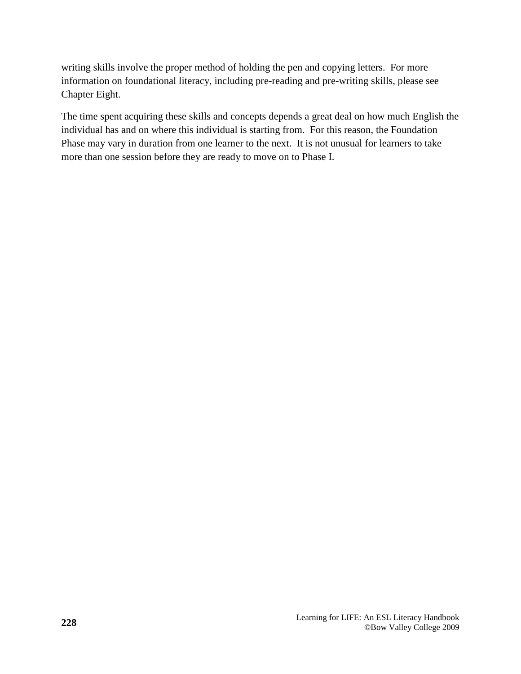writing skills involve the proper method of holding the pen and copying letters. For more information on foundational literacy, including pre-reading and pre-writing skills, please see Chapter Eight.

The time spent acquiring these skills and concepts depends a great deal on how much English the individual has and on where this individual is starting from. For this reason, the Foundation Phase may vary in duration from one learner to the next. It is not unusual for learners to take more than one session before they are ready to move on to Phase I.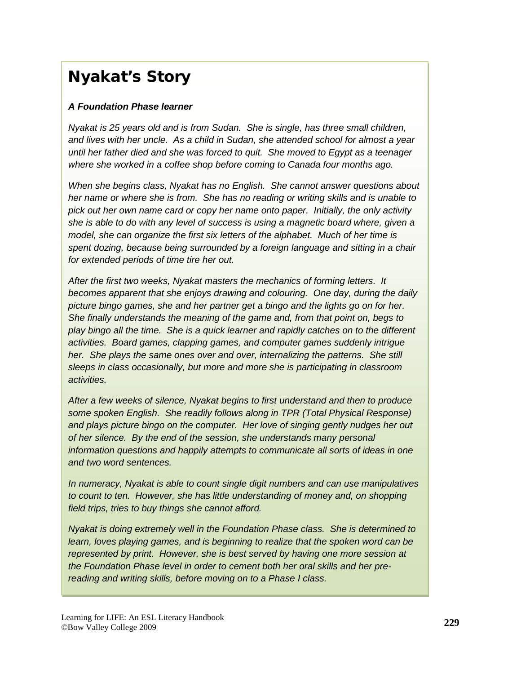## Nyakat's Story

#### *A Foundation Phase learner*

*Nyakat is 25 years old and is from Sudan. She is single, has three small children, and lives with her uncle. As a child in Sudan, she attended school for almost a year until her father died and she was forced to quit. She moved to Egypt as a teenager where she worked in a coffee shop before coming to Canada four months ago.*

*When she begins class, Nyakat has no English. She cannot answer questions about her name or where she is from. She has no reading or writing skills and is unable to pick out her own name card or copy her name onto paper. Initially, the only activity she is able to do with any level of success is using a magnetic board where, given a model, she can organize the first six letters of the alphabet. Much of her time is spent dozing, because being surrounded by a foreign language and sitting in a chair for extended periods of time tire her out.*

*After the first two weeks, Nyakat masters the mechanics of forming letters. It becomes apparent that she enjoys drawing and colouring. One day, during the daily picture bingo games, she and her partner get a bingo and the lights go on for her. She finally understands the meaning of the game and, from that point on, begs to play bingo all the time. She is a quick learner and rapidly catches on to the different activities. Board games, clapping games, and computer games suddenly intrigue her.* She plays the same ones over and over, internalizing the patterns. She still *sleeps in class occasionally, but more and more she is participating in classroom activities.* 

*After a few weeks of silence, Nyakat begins to first understand and then to produce some spoken English. She readily follows along in TPR (Total Physical Response) and plays picture bingo on the computer. Her love of singing gently nudges her out of her silence. By the end of the session, she understands many personal information questions and happily attempts to communicate all sorts of ideas in one and two word sentences.*

*In numeracy, Nyakat is able to count single digit numbers and can use manipulatives to count to ten. However, she has little understanding of money and, on shopping field trips, tries to buy things she cannot afford.* 

*Nyakat is doing extremely well in the Foundation Phase class. She is determined to learn, loves playing games, and is beginning to realize that the spoken word can be represented by print. However, she is best served by having one more session at the Foundation Phase level in order to cement both her oral skills and her prereading and writing skills, before moving on to a Phase I class.*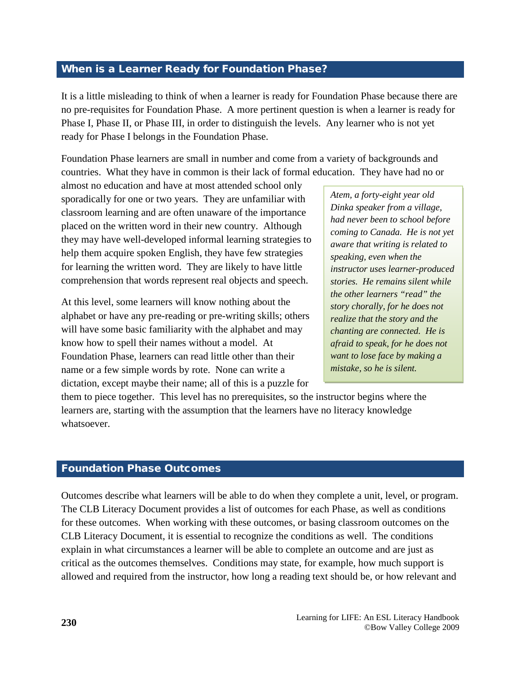#### <span id="page-7-0"></span>When is a Learner Ready for Foundation Phase?

It is a little misleading to think of when a learner is ready for Foundation Phase because there are no pre-requisites for Foundation Phase. A more pertinent question is when a learner is ready for Phase I, Phase II, or Phase III, in order to distinguish the levels. Any learner who is not yet ready for Phase I belongs in the Foundation Phase.

Foundation Phase learners are small in number and come from a variety of backgrounds and countries. What they have in common is their lack of formal education. They have had no or

almost no education and have at most attended school only sporadically for one or two years. They are unfamiliar with classroom learning and are often unaware of the importance placed on the written word in their new country. Although they may have well-developed informal learning strategies to help them acquire spoken English, they have few strategies for learning the written word. They are likely to have little comprehension that words represent real objects and speech.

At this level, some learners will know nothing about the alphabet or have any pre-reading or pre-writing skills; others will have some basic familiarity with the alphabet and may know how to spell their names without a model. At Foundation Phase, learners can read little other than their name or a few simple words by rote. None can write a dictation, except maybe their name; all of this is a puzzle for

*Atem, a forty-eight year old Dinka speaker from a village, had never been to school before coming to Canada. He is not yet aware that writing is related to speaking, even when the instructor uses learner-produced stories. He remains silent while the other learners "read" the story chorally, for he does not realize that the story and the chanting are connected. He is afraid to speak, for he does not want to lose face by making a mistake, so he is silent.*

them to piece together. This level has no prerequisites, so the instructor begins where the learners are, starting with the assumption that the learners have no literacy knowledge whatsoever.

#### Foundation Phase Outcomes

Outcomes describe what learners will be able to do when they complete a unit, level, or program. The CLB Literacy Document provides a list of outcomes for each Phase, as well as conditions for these outcomes. When working with these outcomes, or basing classroom outcomes on the CLB Literacy Document, it is essential to recognize the conditions as well. The conditions explain in what circumstances a learner will be able to complete an outcome and are just as critical as the outcomes themselves. Conditions may state, for example, how much support is allowed and required from the instructor, how long a reading text should be, or how relevant and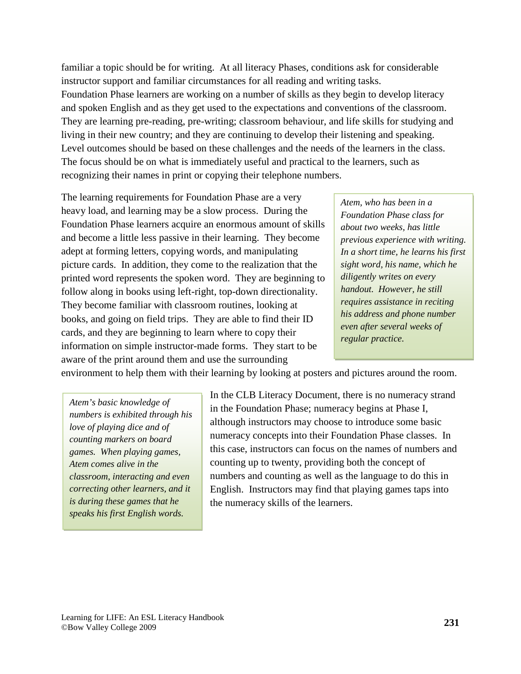familiar a topic should be for writing. At all literacy Phases, conditions ask for considerable instructor support and familiar circumstances for all reading and writing tasks. Foundation Phase learners are working on a number of skills as they begin to develop literacy and spoken English and as they get used to the expectations and conventions of the classroom. They are learning pre-reading, pre-writing; classroom behaviour, and life skills for studying and living in their new country; and they are continuing to develop their listening and speaking. Level outcomes should be based on these challenges and the needs of the learners in the class. The focus should be on what is immediately useful and practical to the learners, such as recognizing their names in print or copying their telephone numbers.

The learning requirements for Foundation Phase are a very heavy load, and learning may be a slow process. During the Foundation Phase learners acquire an enormous amount of skills and become a little less passive in their learning. They become adept at forming letters, copying words, and manipulating picture cards. In addition, they come to the realization that the printed word represents the spoken word. They are beginning to follow along in books using left-right, top-down directionality. They become familiar with classroom routines, looking at books, and going on field trips. They are able to find their ID cards, and they are beginning to learn where to copy their information on simple instructor-made forms. They start to be aware of the print around them and use the surrounding

*Atem, who has been in a Foundation Phase class for about two weeks, has little previous experience with writing. In a short time, he learns his first sight word, his name, which he diligently writes on every handout. However, he still requires assistance in reciting his address and phone number even after several weeks of regular practice.*

environment to help them with their learning by looking at posters and pictures around the room.

*Atem's basic knowledge of numbers is exhibited through his love of playing dice and of counting markers on board games. When playing games, Atem comes alive in the classroom, interacting and even correcting other learners, and it is during these games that he speaks his first English words.*

In the CLB Literacy Document, there is no numeracy strand in the Foundation Phase; numeracy begins at Phase I, although instructors may choose to introduce some basic numeracy concepts into their Foundation Phase classes. In this case, instructors can focus on the names of numbers and counting up to twenty, providing both the concept of numbers and counting as well as the language to do this in English. Instructors may find that playing games taps into the numeracy skills of the learners.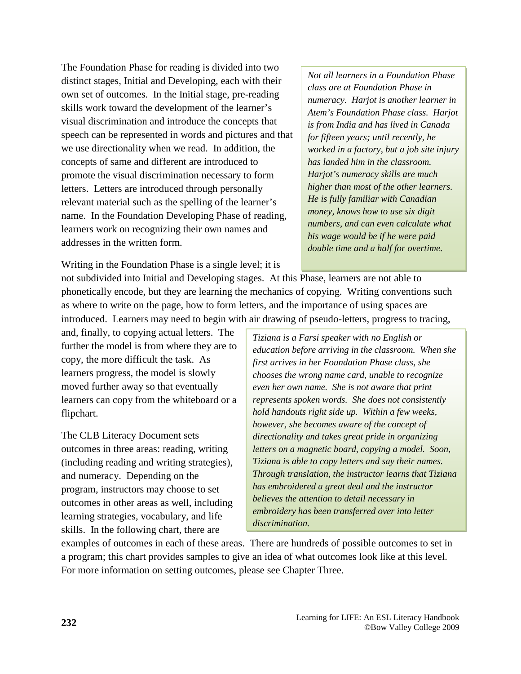The Foundation Phase for reading is divided into two distinct stages, Initial and Developing, each with their own set of outcomes. In the Initial stage, pre-reading skills work toward the development of the learner's visual discrimination and introduce the concepts that speech can be represented in words and pictures and that we use directionality when we read. In addition, the concepts of same and different are introduced to promote the visual discrimination necessary to form letters. Letters are introduced through personally relevant material such as the spelling of the learner's name. In the Foundation Developing Phase of reading, learners work on recognizing their own names and addresses in the written form.

*Not all learners in a Foundation Phase class are at Foundation Phase in numeracy. Harjot is another learner in Atem's Foundation Phase class. Harjot is from India and has lived in Canada for fifteen years; until recently, he worked in a factory, but a job site injury has landed him in the classroom. Harjot's numeracy skills are much higher than most of the other learners. He is fully familiar with Canadian money, knows how to use six digit numbers, and can even calculate what his wage would be if he were paid double time and a half for overtime.*

Writing in the Foundation Phase is a single level; it is

not subdivided into Initial and Developing stages. At this Phase, learners are not able to phonetically encode, but they are learning the mechanics of copying. Writing conventions such as where to write on the page, how to form letters, and the importance of using spaces are introduced. Learners may need to begin with air drawing of pseudo-letters, progress to tracing,

and, finally, to copying actual letters. The further the model is from where they are to copy, the more difficult the task. As learners progress, the model is slowly moved further away so that eventually learners can copy from the whiteboard or a flipchart.

The CLB Literacy Document sets outcomes in three areas: reading, writing (including reading and writing strategies), and numeracy. Depending on the program, instructors may choose to set outcomes in other areas as well, including learning strategies, vocabulary, and life skills. In the following chart, there are

*Tiziana is a Farsi speaker with no English or education before arriving in the classroom. When she first arrives in her Foundation Phase class, she chooses the wrong name card, unable to recognize even her own name. She is not aware that print represents spoken words. She does not consistently hold handouts right side up. Within a few weeks, however, she becomes aware of the concept of directionality and takes great pride in organizing letters on a magnetic board, copying a model. Soon, Tiziana is able to copy letters and say their names. Through translation, the instructor learns that Tiziana has embroidered a great deal and the instructor believes the attention to detail necessary in embroidery has been transferred over into letter discrimination.*

examples of outcomes in each of these areas. There are hundreds of possible outcomes to set in a program; this chart provides samples to give an idea of what outcomes look like at this level. For more information on setting outcomes, please see Chapter Three.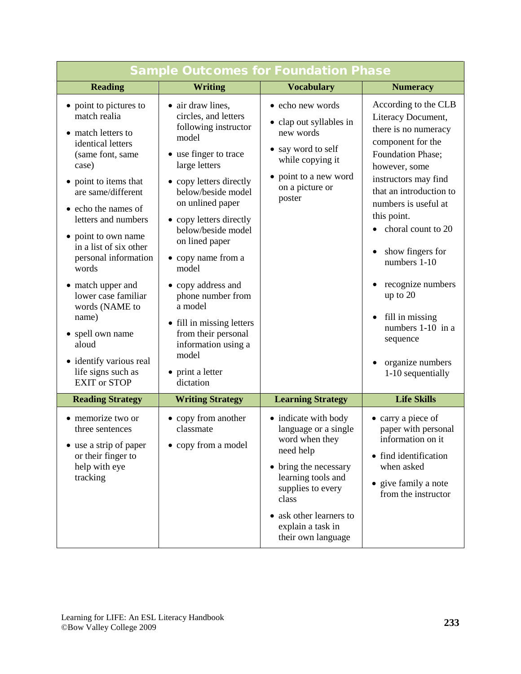| <b>Sample Outcomes for Foundation Phase</b>                                                                                                                                                                                                                                                                                                                                                                                                                               |                                                                                                                                                                                                                                                                                                                                                                                                                                                                        |                                                                                                                                                                                                                                |                                                                                                                                                                                                                                                                                                                                                                                                                   |  |
|---------------------------------------------------------------------------------------------------------------------------------------------------------------------------------------------------------------------------------------------------------------------------------------------------------------------------------------------------------------------------------------------------------------------------------------------------------------------------|------------------------------------------------------------------------------------------------------------------------------------------------------------------------------------------------------------------------------------------------------------------------------------------------------------------------------------------------------------------------------------------------------------------------------------------------------------------------|--------------------------------------------------------------------------------------------------------------------------------------------------------------------------------------------------------------------------------|-------------------------------------------------------------------------------------------------------------------------------------------------------------------------------------------------------------------------------------------------------------------------------------------------------------------------------------------------------------------------------------------------------------------|--|
| <b>Reading</b>                                                                                                                                                                                                                                                                                                                                                                                                                                                            | <b>Writing</b>                                                                                                                                                                                                                                                                                                                                                                                                                                                         | <b>Vocabulary</b>                                                                                                                                                                                                              | <b>Numeracy</b>                                                                                                                                                                                                                                                                                                                                                                                                   |  |
| • point to pictures to<br>match realia<br>• match letters to<br>identical letters<br>(same font, same<br>case)<br>• point to items that<br>are same/different<br>• echo the names of<br>letters and numbers<br>• point to own name<br>in a list of six other<br>personal information<br>words<br>• match upper and<br>lower case familiar<br>words (NAME to<br>name)<br>• spell own name<br>aloud<br>• identify various real<br>life signs such as<br><b>EXIT or STOP</b> | • air draw lines,<br>circles, and letters<br>following instructor<br>model<br>• use finger to trace<br>large letters<br>• copy letters directly<br>below/beside model<br>on unlined paper<br>• copy letters directly<br>below/beside model<br>on lined paper<br>• copy name from a<br>model<br>• copy address and<br>phone number from<br>a model<br>• fill in missing letters<br>from their personal<br>information using a<br>model<br>• print a letter<br>dictation | • echo new words<br>• clap out syllables in<br>new words<br>• say word to self<br>while copying it<br>• point to a new word<br>on a picture or<br>poster                                                                       | According to the CLB<br>Literacy Document,<br>there is no numeracy<br>component for the<br>Foundation Phase;<br>however, some<br>instructors may find<br>that an introduction to<br>numbers is useful at<br>this point.<br>• choral count to 20<br>show fingers for<br>numbers 1-10<br>recognize numbers<br>up to 20<br>fill in missing<br>numbers 1-10 in a<br>sequence<br>organize numbers<br>1-10 sequentially |  |
| <b>Reading Strategy</b>                                                                                                                                                                                                                                                                                                                                                                                                                                                   | <b>Writing Strategy</b>                                                                                                                                                                                                                                                                                                                                                                                                                                                | <b>Learning Strategy</b>                                                                                                                                                                                                       | <b>Life Skills</b>                                                                                                                                                                                                                                                                                                                                                                                                |  |
| • memorize two or<br>three sentences<br>use a strip of paper<br>or their finger to<br>help with eye<br>tracking                                                                                                                                                                                                                                                                                                                                                           | • copy from another<br>classmate<br>• copy from a model                                                                                                                                                                                                                                                                                                                                                                                                                | • indicate with body<br>language or a single<br>word when they<br>need help<br>• bring the necessary<br>learning tools and<br>supplies to every<br>class<br>• ask other learners to<br>explain a task in<br>their own language | • carry a piece of<br>paper with personal<br>information on it<br>• find identification<br>when asked<br>• give family a note<br>from the instructor                                                                                                                                                                                                                                                              |  |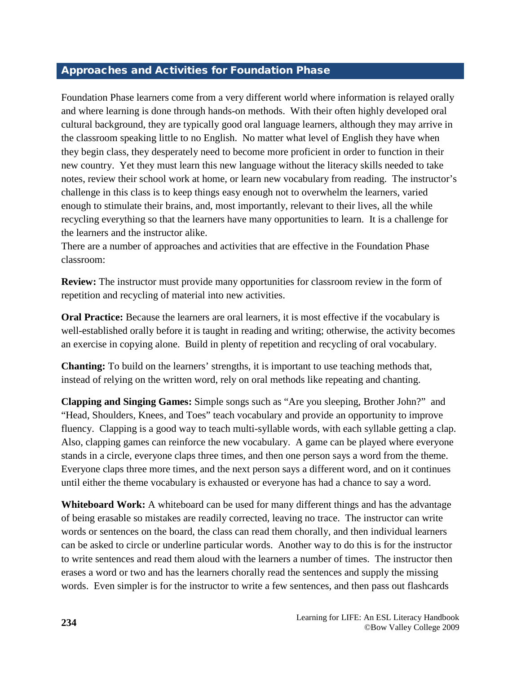#### <span id="page-11-0"></span>Approaches and Activities for Foundation Phase

Foundation Phase learners come from a very different world where information is relayed orally and where learning is done through hands-on methods. With their often highly developed oral cultural background, they are typically good oral language learners, although they may arrive in the classroom speaking little to no English. No matter what level of English they have when they begin class, they desperately need to become more proficient in order to function in their new country. Yet they must learn this new language without the literacy skills needed to take notes, review their school work at home, or learn new vocabulary from reading. The instructor's challenge in this class is to keep things easy enough not to overwhelm the learners, varied enough to stimulate their brains, and, most importantly, relevant to their lives, all the while recycling everything so that the learners have many opportunities to learn. It is a challenge for the learners and the instructor alike.

There are a number of approaches and activities that are effective in the Foundation Phase classroom:

**Review:** The instructor must provide many opportunities for classroom review in the form of repetition and recycling of material into new activities.

**Oral Practice:** Because the learners are oral learners, it is most effective if the vocabulary is well-established orally before it is taught in reading and writing; otherwise, the activity becomes an exercise in copying alone. Build in plenty of repetition and recycling of oral vocabulary.

**Chanting:** To build on the learners' strengths, it is important to use teaching methods that, instead of relying on the written word, rely on oral methods like repeating and chanting.

**Clapping and Singing Games:** Simple songs such as "Are you sleeping, Brother John?" and "Head, Shoulders, Knees, and Toes" teach vocabulary and provide an opportunity to improve fluency. Clapping is a good way to teach multi-syllable words, with each syllable getting a clap. Also, clapping games can reinforce the new vocabulary. A game can be played where everyone stands in a circle, everyone claps three times, and then one person says a word from the theme. Everyone claps three more times, and the next person says a different word, and on it continues until either the theme vocabulary is exhausted or everyone has had a chance to say a word.

**Whiteboard Work:** A whiteboard can be used for many different things and has the advantage of being erasable so mistakes are readily corrected, leaving no trace. The instructor can write words or sentences on the board, the class can read them chorally, and then individual learners can be asked to circle or underline particular words. Another way to do this is for the instructor to write sentences and read them aloud with the learners a number of times. The instructor then erases a word or two and has the learners chorally read the sentences and supply the missing words. Even simpler is for the instructor to write a few sentences, and then pass out flashcards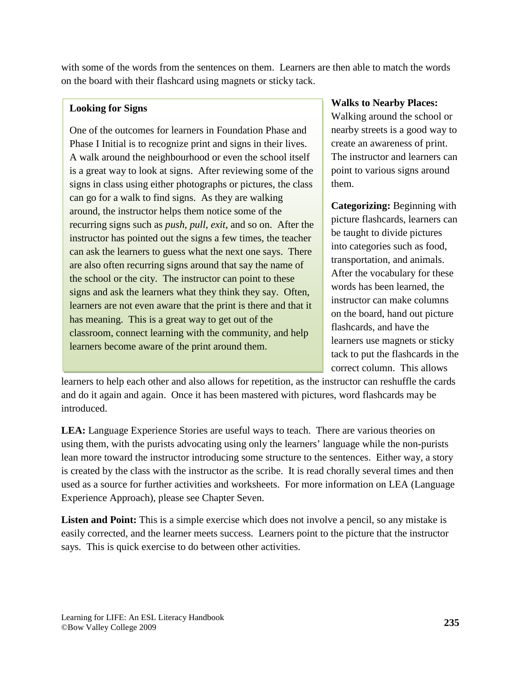with some of the words from the sentences on them. Learners are then able to match the words on the board with their flashcard using magnets or sticky tack.

#### **Looking for Signs**

One of the outcomes for learners in Foundation Phase and Phase I Initial is to recognize print and signs in their lives. A walk around the neighbourhood or even the school itself is a great way to look at signs. After reviewing some of the signs in class using either photographs or pictures, the class can go for a walk to find signs. As they are walking around, the instructor helps them notice some of the recurring signs such as *push*, *pull*, *exit*, and so on. After the instructor has pointed out the signs a few times, the teacher can ask the learners to guess what the next one says. There are also often recurring signs around that say the name of the school or the city. The instructor can point to these signs and ask the learners what they think they say. Often, learners are not even aware that the print is there and that it has meaning. This is a great way to get out of the classroom, connect learning with the community, and help learners become aware of the print around them.

#### **Walks to Nearby Places:**

Walking around the school or nearby streets is a good way to create an awareness of print. The instructor and learners can point to various signs around them.

**Categorizing:** Beginning with picture flashcards, learners can be taught to divide pictures into categories such as food, transportation, and animals. After the vocabulary for these words has been learned, the instructor can make columns on the board, hand out picture flashcards, and have the learners use magnets or sticky tack to put the flashcards in the correct column. This allows

learners to help each other and also allows for repetition, as the instructor can reshuffle the cards and do it again and again. Once it has been mastered with pictures, word flashcards may be introduced.

**LEA:** Language Experience Stories are useful ways to teach. There are various theories on using them, with the purists advocating using only the learners' language while the non-purists lean more toward the instructor introducing some structure to the sentences. Either way, a story is created by the class with the instructor as the scribe. It is read chorally several times and then used as a source for further activities and worksheets. For more information on LEA (Language Experience Approach), please see Chapter Seven.

**Listen and Point:** This is a simple exercise which does not involve a pencil, so any mistake is easily corrected, and the learner meets success. Learners point to the picture that the instructor says. This is quick exercise to do between other activities.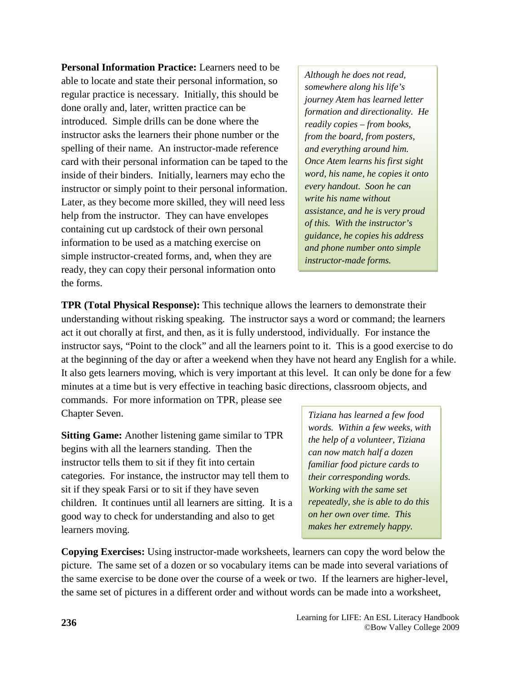**Personal Information Practice:** Learners need to be able to locate and state their personal information, so regular practice is necessary. Initially, this should be done orally and, later, written practice can be introduced. Simple drills can be done where the instructor asks the learners their phone number or the spelling of their name. An instructor-made reference card with their personal information can be taped to the inside of their binders. Initially, learners may echo the instructor or simply point to their personal information. Later, as they become more skilled, they will need less help from the instructor. They can have envelopes containing cut up cardstock of their own personal information to be used as a matching exercise on simple instructor-created forms, and, when they are ready, they can copy their personal information onto the forms.

*Although he does not read, somewhere along his life's journey Atem has learned letter formation and directionality. He readily copies – from books, from the board, from posters, and everything around him. Once Atem learns his first sight word, his name, he copies it onto every handout. Soon he can write his name without assistance, and he is very proud of this. With the instructor's guidance, he copies his address and phone number onto simple instructor-made forms.*

**TPR (Total Physical Response):** This technique allows the learners to demonstrate their understanding without risking speaking. The instructor says a word or command; the learners act it out chorally at first, and then, as it is fully understood, individually. For instance the instructor says, "Point to the clock" and all the learners point to it. This is a good exercise to do at the beginning of the day or after a weekend when they have not heard any English for a while. It also gets learners moving, which is very important at this level. It can only be done for a few minutes at a time but is very effective in teaching basic directions, classroom objects, and commands. For more information on TPR, please see Chapter Seven.

**Sitting Game:** Another listening game similar to TPR begins with all the learners standing. Then the instructor tells them to sit if they fit into certain categories. For instance, the instructor may tell them to sit if they speak Farsi or to sit if they have seven children. It continues until all learners are sitting. It is a good way to check for understanding and also to get learners moving.

*Tiziana has learned a few food words. Within a few weeks, with the help of a volunteer, Tiziana can now match half a dozen familiar food picture cards to their corresponding words. Working with the same set repeatedly, she is able to do this on her own over time. This makes her extremely happy.* 

**Copying Exercises:** Using instructor-made worksheets, learners can copy the word below the picture. The same set of a dozen or so vocabulary items can be made into several variations of the same exercise to be done over the course of a week or two. If the learners are higher-level, the same set of pictures in a different order and without words can be made into a worksheet,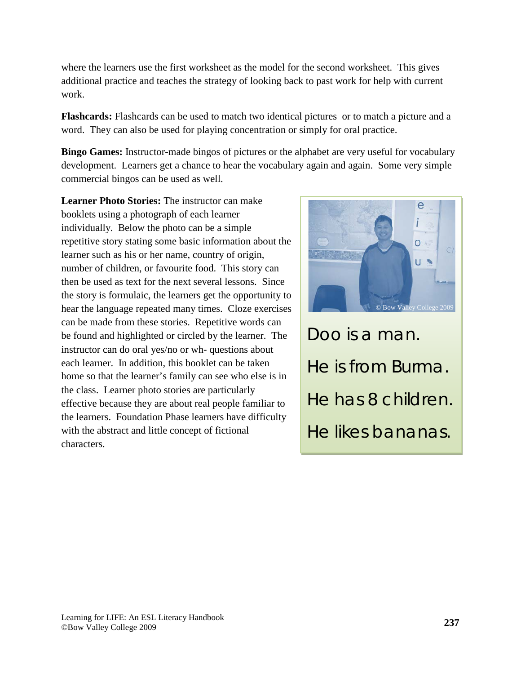where the learners use the first worksheet as the model for the second worksheet. This gives additional practice and teaches the strategy of looking back to past work for help with current work.

**Flashcards:** Flashcards can be used to match two identical pictures or to match a picture and a word. They can also be used for playing concentration or simply for oral practice.

**Bingo Games:** Instructor-made bingos of pictures or the alphabet are very useful for vocabulary development. Learners get a chance to hear the vocabulary again and again. Some very simple commercial bingos can be used as well.

**Learner Photo Stories:** The instructor can make booklets using a photograph of each learner individually. Below the photo can be a simple repetitive story stating some basic information about the learner such as his or her name, country of origin, number of children, or favourite food. This story can then be used as text for the next several lessons. Since the story is formulaic, the learners get the opportunity to hear the language repeated many times. Cloze exercises can be made from these stories. Repetitive words can be found and highlighted or circled by the learner. The instructor can do oral yes/no or wh- questions about each learner. In addition, this booklet can be taken home so that the learner's family can see who else is in the class. Learner photo stories are particularly effective because they are about real people familiar to the learners. Foundation Phase learners have difficulty with the abstract and little concept of fictional characters.



Doo is a man. He is from Burma. He has 8 children. He likes bananas.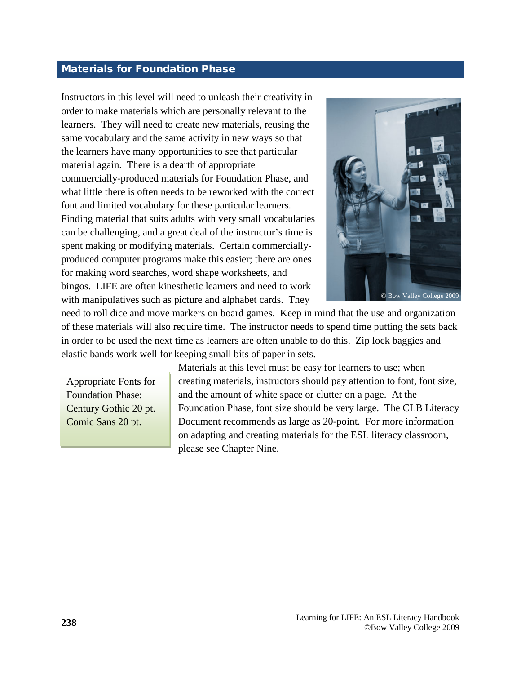#### <span id="page-15-0"></span>Materials for Foundation Phase

Instructors in this level will need to unleash their creativity in order to make materials which are personally relevant to the learners. They will need to create new materials, reusing the same vocabulary and the same activity in new ways so that the learners have many opportunities to see that particular material again. There is a dearth of appropriate commercially-produced materials for Foundation Phase, and what little there is often needs to be reworked with the correct font and limited vocabulary for these particular learners. Finding material that suits adults with very small vocabularies can be challenging, and a great deal of the instructor's time is spent making or modifying materials. Certain commerciallyproduced computer programs make this easier; there are ones for making word searches, word shape worksheets, and bingos. LIFE are often kinesthetic learners and need to work with manipulatives such as picture and alphabet cards. They



need to roll dice and move markers on board games. Keep in mind that the use and organization of these materials will also require time. The instructor needs to spend time putting the sets back in order to be used the next time as learners are often unable to do this. Zip lock baggies and elastic bands work well for keeping small bits of paper in sets.

Appropriate Fonts for Foundation Phase: Century Gothic 20 pt. Comic Sans 20 pt.

Materials at this level must be easy for learners to use; when creating materials, instructors should pay attention to font, font size, and the amount of white space or clutter on a page. At the Foundation Phase, font size should be very large. The CLB Literacy Document recommends as large as 20-point. For more information on adapting and creating materials for the ESL literacy classroom, please see Chapter Nine.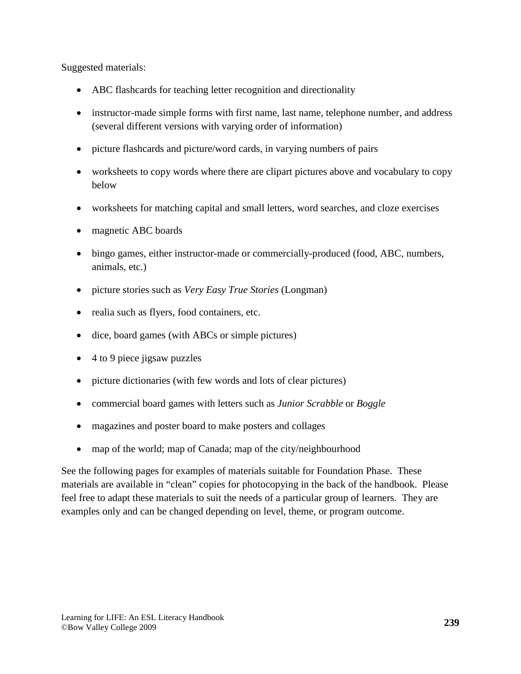Suggested materials:

- ABC flashcards for teaching letter recognition and directionality
- instructor-made simple forms with first name, last name, telephone number, and address (several different versions with varying order of information)
- picture flashcards and picture/word cards, in varying numbers of pairs
- worksheets to copy words where there are clipart pictures above and vocabulary to copy below
- worksheets for matching capital and small letters, word searches, and cloze exercises
- magnetic ABC boards
- bingo games, either instructor-made or commercially-produced (food, ABC, numbers, animals, etc.)
- picture stories such as *Very Easy True Stories* (Longman)
- realia such as flyers, food containers, etc.
- dice, board games (with ABCs or simple pictures)
- 4 to 9 piece jigsaw puzzles
- picture dictionaries (with few words and lots of clear pictures)
- commercial board games with letters such as *Junior Scrabble* or *Boggle*
- magazines and poster board to make posters and collages
- map of the world; map of Canada; map of the city/neighbourhood

See the following pages for examples of materials suitable for Foundation Phase. These materials are available in "clean" copies for photocopying in the back of the handbook. Please feel free to adapt these materials to suit the needs of a particular group of learners. They are examples only and can be changed depending on level, theme, or program outcome.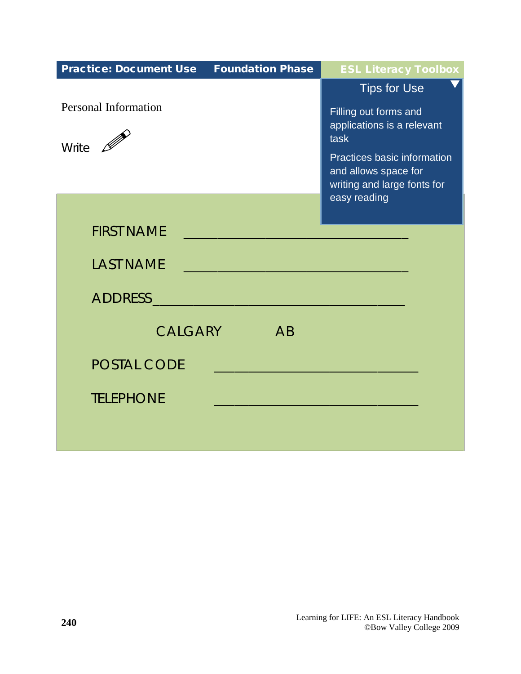| <b>Practice: Document Use Foundation Phase</b>                                                               | <b>ESL Literacy Toolbox</b>                         |
|--------------------------------------------------------------------------------------------------------------|-----------------------------------------------------|
|                                                                                                              | <b>Tips for Use</b>                                 |
| <b>Personal Information</b>                                                                                  | Filling out forms and<br>applications is a relevant |
| Write $\mathscr{D}$                                                                                          | task                                                |
|                                                                                                              | Practices basic information<br>and allows space for |
|                                                                                                              | writing and large fonts for                         |
|                                                                                                              | easy reading                                        |
| <b>FIRST NAME</b>                                                                                            |                                                     |
| <b>LAST NAME</b><br>$\mathcal{L}(\mathcal{L})$ and $\mathcal{L}(\mathcal{L})$ and $\mathcal{L}(\mathcal{L})$ |                                                     |
|                                                                                                              |                                                     |
| CALGARY<br>AB                                                                                                |                                                     |
| <b>POSTAL CODE</b>                                                                                           |                                                     |
| <b>TELEPHONE</b>                                                                                             |                                                     |
|                                                                                                              |                                                     |
|                                                                                                              |                                                     |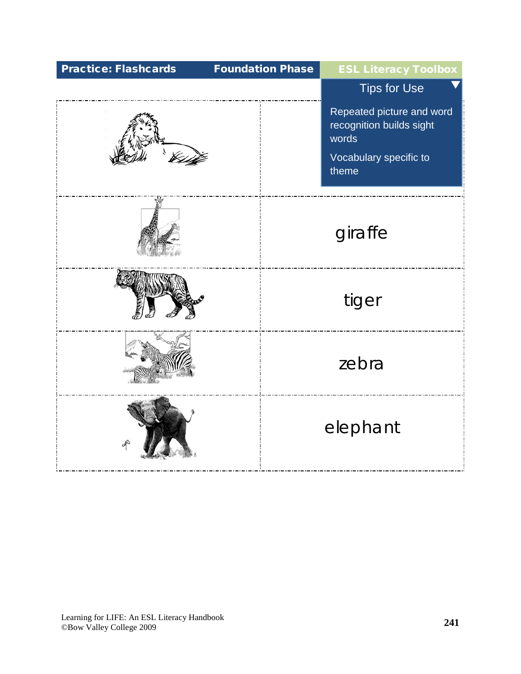| <b>Practice: Flashcards</b> | <b>Foundation Phase</b> | <b>ESL Literacy Toolbox</b>                                                                       |
|-----------------------------|-------------------------|---------------------------------------------------------------------------------------------------|
|                             |                         | <b>Tips</b> for Use                                                                               |
|                             |                         | Repeated picture and word<br>recognition builds sight<br>words<br>Vocabulary specific to<br>theme |
|                             |                         | giraffe                                                                                           |
|                             |                         | tiger                                                                                             |
|                             |                         | zebra                                                                                             |
|                             |                         | elephant                                                                                          |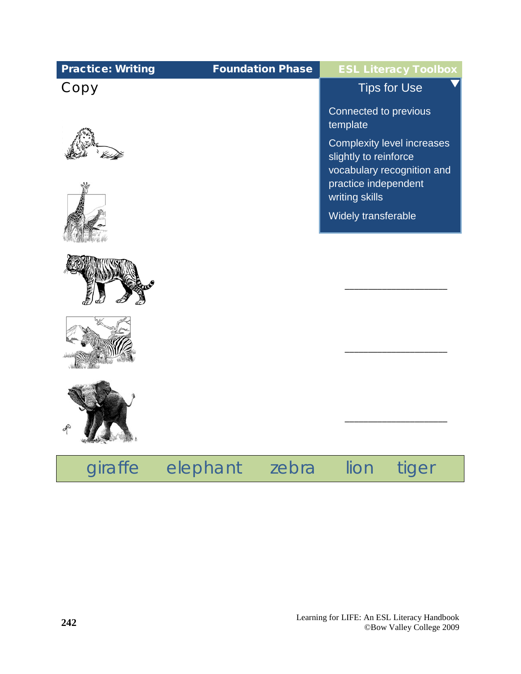| <b>Practice: Writing</b> | <b>Foundation Phase</b> | <b>ESL Literacy Toolbox</b>                                                       |
|--------------------------|-------------------------|-----------------------------------------------------------------------------------|
| Copy                     |                         | <b>Tips for Use</b>                                                               |
|                          |                         | Connected to previous<br>template                                                 |
|                          |                         | Complexity level increases<br>slightly to reinforce<br>vocabulary recognition and |
|                          |                         | practice independent<br>writing skills                                            |
|                          |                         | Widely transferable                                                               |
|                          |                         |                                                                                   |
|                          |                         |                                                                                   |
|                          |                         |                                                                                   |
|                          |                         |                                                                                   |

## giraffe elephant zebra lion tiger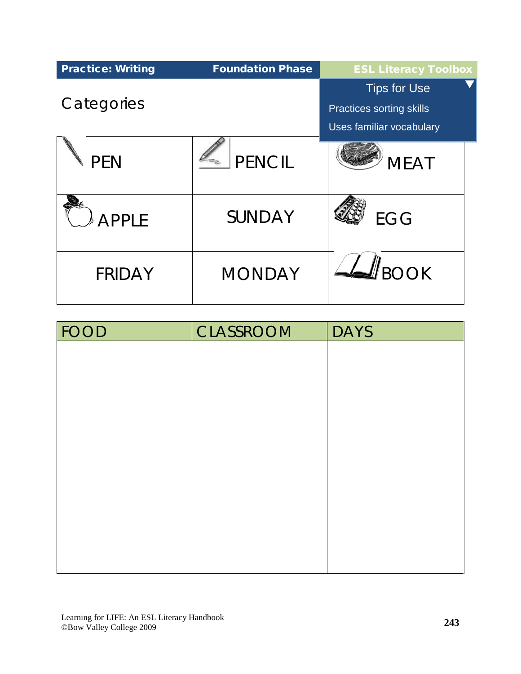| <b>Practice: Writing</b> | <b>Foundation Phase</b> | <b>ESL Literacy Toolbox</b>                                                 |
|--------------------------|-------------------------|-----------------------------------------------------------------------------|
| Categories               |                         | <b>Tips for Use</b><br>Practices sorting skills<br>Uses familiar vocabulary |
| <b>PEN</b>               | PENCIL                  | <b>MEAT</b>                                                                 |
| <b>APPLE</b>             | <b>SUNDAY</b>           | <b>EGG</b>                                                                  |
| <b>FRIDAY</b>            | <b>MONDAY</b>           | <b>ROOK</b>                                                                 |

| <b>FOOD</b> | <b>CLASSROOM</b> | <b>DAYS</b> |
|-------------|------------------|-------------|
|             |                  |             |
|             |                  |             |
|             |                  |             |
|             |                  |             |
|             |                  |             |
|             |                  |             |
|             |                  |             |
|             |                  |             |
|             |                  |             |
|             |                  |             |
|             |                  |             |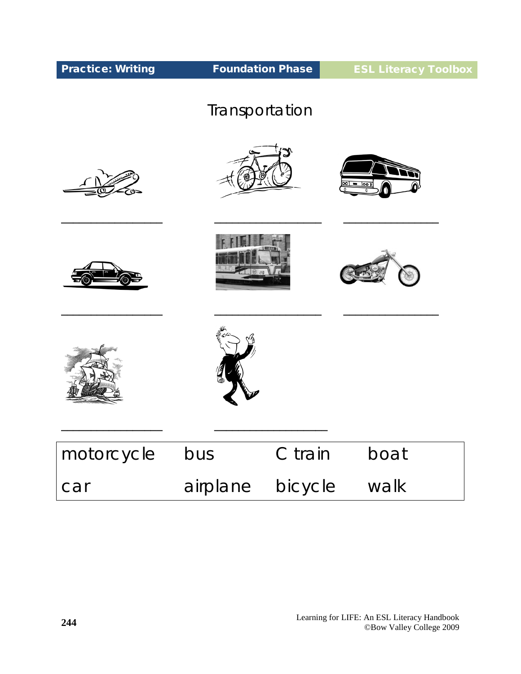| <b>Practice: Writing</b> | <b>Foundation Phase</b> |         | <b>ESL Literacy Toolbox</b> |  |
|--------------------------|-------------------------|---------|-----------------------------|--|
|                          | Transportation          |         |                             |  |
|                          |                         |         | $= 1001$                    |  |
|                          |                         |         |                             |  |
|                          |                         |         |                             |  |
| motorcycle               | bus                     | C train | boat                        |  |
| car                      | airplane                | bicycle | walk                        |  |

Π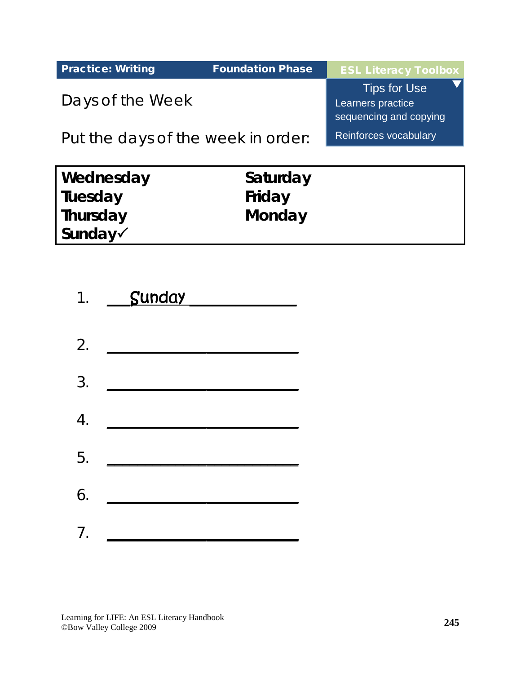| <b>Practice: Writing</b>           | <b>Foundation Phase</b> | <b>ESL Literacy Toolbox</b>                                        |
|------------------------------------|-------------------------|--------------------------------------------------------------------|
| Days of the Week                   |                         | <b>Tips for Use</b><br>Learners practice<br>sequencing and copying |
| Put the days of the week in order: |                         | Reinforces vocabulary                                              |
|                                    |                         |                                                                    |

| Wednesday                             | Saturday |
|---------------------------------------|----------|
| Tuesday                               | Friday   |
| Thursday                              | Monday   |
| $\mathsf{Sunday}\mathcal{\checkmark}$ |          |

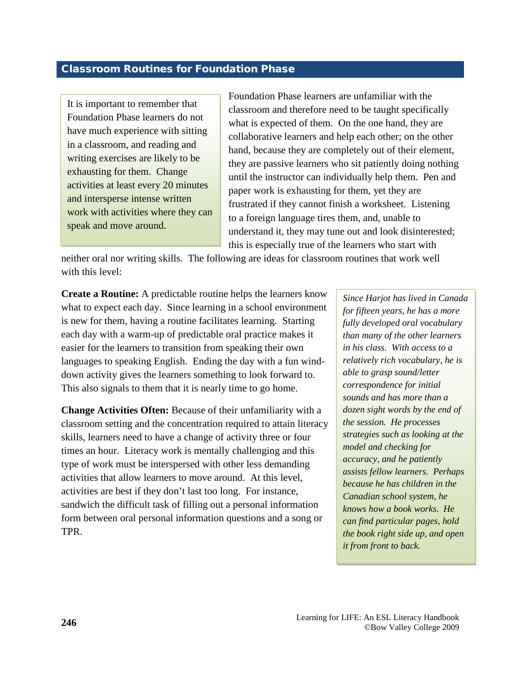#### <span id="page-23-0"></span>Classroom Routines for Foundation Phase

It is important to remember that Foundation Phase learners do not have much experience with sitting in a classroom, and reading and writing exercises are likely to be exhausting for them. Change activities at least every 20 minutes and intersperse intense written work with activities where they can speak and move around.

Foundation Phase learners are unfamiliar with the classroom and therefore need to be taught specifically what is expected of them. On the one hand, they are collaborative learners and help each other; on the other hand, because they are completely out of their element, they are passive learners who sit patiently doing nothing until the instructor can individually help them. Pen and paper work is exhausting for them, yet they are frustrated if they cannot finish a worksheet. Listening to a foreign language tires them, and, unable to understand it, they may tune out and look disinterested; this is especially true of the learners who start with

neither oral nor writing skills. The following are ideas for classroom routines that work well with this level:

**Create a Routine:** A predictable routine helps the learners know what to expect each day. Since learning in a school environment is new for them, having a routine facilitates learning. Starting each day with a warm-up of predictable oral practice makes it easier for the learners to transition from speaking their own languages to speaking English. Ending the day with a fun winddown activity gives the learners something to look forward to. This also signals to them that it is nearly time to go home.

**Change Activities Often:** Because of their unfamiliarity with a classroom setting and the concentration required to attain literacy skills, learners need to have a change of activity three or four times an hour. Literacy work is mentally challenging and this type of work must be interspersed with other less demanding activities that allow learners to move around. At this level, activities are best if they don't last too long. For instance, sandwich the difficult task of filling out a personal information form between oral personal information questions and a song or TPR.

*Since Harjot has lived in Canada for fifteen years, he has a more fully developed oral vocabulary than many of the other learners in his class. With access to a relatively rich vocabulary, he is able to grasp sound/letter correspondence for initial sounds and has more than a dozen sight words by the end of the session. He processes strategies such as looking at the model and checking for accuracy, and he patiently assists fellow learners. Perhaps because he has children in the Canadian school system, he knows how a book works. He can find particular pages, hold the book right side up, and open it from front to back.*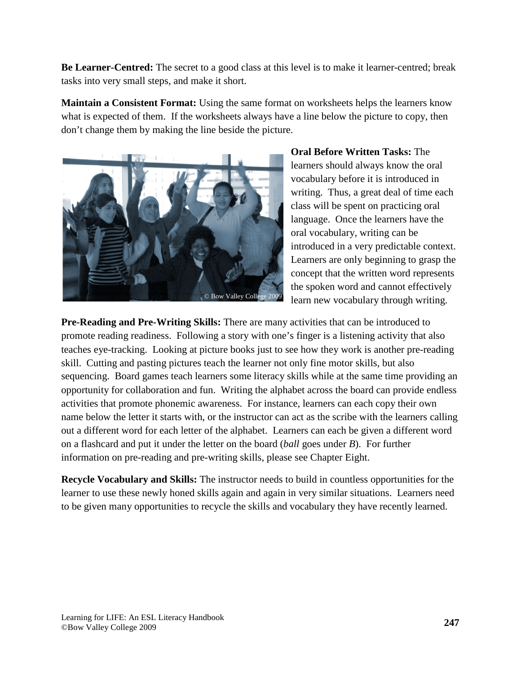**Be Learner-Centred:** The secret to a good class at this level is to make it learner-centred; break tasks into very small steps, and make it short.

**Maintain a Consistent Format:** Using the same format on worksheets helps the learners know what is expected of them. If the worksheets always have a line below the picture to copy, then don't change them by making the line beside the picture.



**Oral Before Written Tasks:** The learners should always know the oral vocabulary before it is introduced in writing. Thus, a great deal of time each class will be spent on practicing oral language. Once the learners have the oral vocabulary, writing can be introduced in a very predictable context. Learners are only beginning to grasp the concept that the written word represents the spoken word and cannot effectively learn new vocabulary through writing.

**Pre-Reading and Pre-Writing Skills:** There are many activities that can be introduced to promote reading readiness. Following a story with one's finger is a listening activity that also teaches eye-tracking. Looking at picture books just to see how they work is another pre-reading skill. Cutting and pasting pictures teach the learner not only fine motor skills, but also sequencing. Board games teach learners some literacy skills while at the same time providing an opportunity for collaboration and fun. Writing the alphabet across the board can provide endless activities that promote phonemic awareness. For instance, learners can each copy their own name below the letter it starts with, or the instructor can act as the scribe with the learners calling out a different word for each letter of the alphabet. Learners can each be given a different word on a flashcard and put it under the letter on the board (*ball* goes under *B*). For further information on pre-reading and pre-writing skills, please see Chapter Eight.

**Recycle Vocabulary and Skills:** The instructor needs to build in countless opportunities for the learner to use these newly honed skills again and again in very similar situations. Learners need to be given many opportunities to recycle the skills and vocabulary they have recently learned.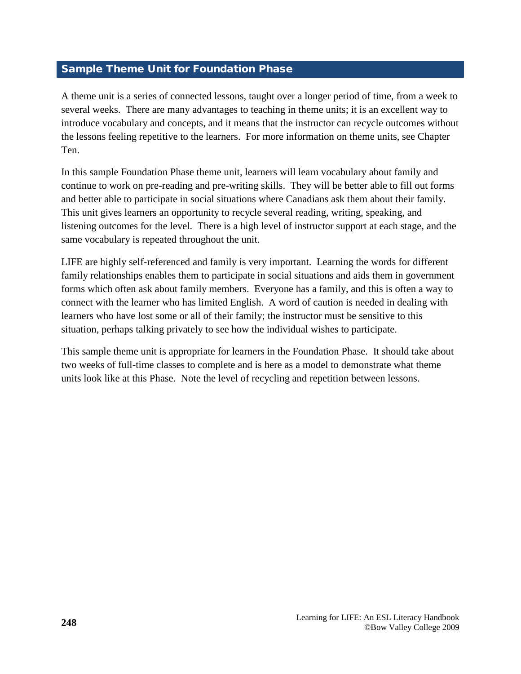#### <span id="page-25-0"></span>Sample Theme Unit for Foundation Phase

A theme unit is a series of connected lessons, taught over a longer period of time, from a week to several weeks. There are many advantages to teaching in theme units; it is an excellent way to introduce vocabulary and concepts, and it means that the instructor can recycle outcomes without the lessons feeling repetitive to the learners. For more information on theme units, see Chapter Ten.

In this sample Foundation Phase theme unit, learners will learn vocabulary about family and continue to work on pre-reading and pre-writing skills. They will be better able to fill out forms and better able to participate in social situations where Canadians ask them about their family. This unit gives learners an opportunity to recycle several reading, writing, speaking, and listening outcomes for the level. There is a high level of instructor support at each stage, and the same vocabulary is repeated throughout the unit.

LIFE are highly self-referenced and family is very important. Learning the words for different family relationships enables them to participate in social situations and aids them in government forms which often ask about family members. Everyone has a family, and this is often a way to connect with the learner who has limited English. A word of caution is needed in dealing with learners who have lost some or all of their family; the instructor must be sensitive to this situation, perhaps talking privately to see how the individual wishes to participate.

This sample theme unit is appropriate for learners in the Foundation Phase. It should take about two weeks of full-time classes to complete and is here as a model to demonstrate what theme units look like at this Phase. Note the level of recycling and repetition between lessons.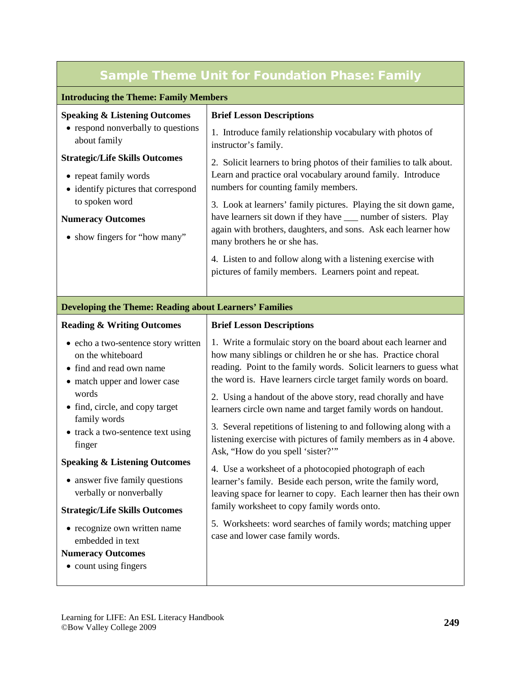### Sample Theme Unit for Foundation Phase: Family

#### **Introducing the Theme: Family Members**

| <b>Speaking &amp; Listening Outcomes</b>           | <b>Brief Lesson Descriptions</b>                                                                                       |
|----------------------------------------------------|------------------------------------------------------------------------------------------------------------------------|
| • respond nonverbally to questions<br>about family | 1. Introduce family relationship vocabulary with photos of<br>instructor's family.                                     |
| <b>Strategic/Life Skills Outcomes</b>              | 2. Solicit learners to bring photos of their families to talk about.                                                   |
| • repeat family words                              | Learn and practice oral vocabulary around family. Introduce                                                            |
| • identify pictures that correspond                | numbers for counting family members.                                                                                   |
| to spoken word                                     | 3. Look at learners' family pictures. Playing the sit down game,                                                       |
| <b>Numeracy Outcomes</b>                           | have learners sit down if they have <u>equal</u> number of sisters. Play                                               |
| • show fingers for "how many"                      | again with brothers, daughters, and sons. Ask each learner how<br>many brothers he or she has.                         |
|                                                    | 4. Listen to and follow along with a listening exercise with<br>pictures of family members. Learners point and repeat. |
|                                                    |                                                                                                                        |

#### **Developing the Theme: Reading about Learners' Families**

| <b>Reading &amp; Writing Outcomes</b>                                                                 | <b>Brief Lesson Descriptions</b>                                                                  |
|-------------------------------------------------------------------------------------------------------|---------------------------------------------------------------------------------------------------|
| • echo a two-sentence story written                                                                   | 1. Write a formulaic story on the board about each learner and                                    |
| on the whiteboard                                                                                     | how many siblings or children he or she has. Practice choral                                      |
| • find and read own name                                                                              | reading. Point to the family words. Solicit learners to guess what                                |
| • match upper and lower case                                                                          | the word is. Have learners circle target family words on board.                                   |
| words                                                                                                 | 2. Using a handout of the above story, read chorally and have                                     |
| • find, circle, and copy target                                                                       | learners circle own name and target family words on handout.                                      |
| family words                                                                                          | 3. Several repetitions of listening to and following along with a                                 |
| • track a two-sentence text using                                                                     | listening exercise with pictures of family members as in 4 above.                                 |
| finger                                                                                                | Ask, "How do you spell 'sister?"                                                                  |
| <b>Speaking &amp; Listening Outcomes</b>                                                              | 4. Use a worksheet of a photocopied photograph of each                                            |
| • answer five family questions                                                                        | learner's family. Beside each person, write the family word,                                      |
| verbally or nonverbally                                                                               | leaving space for learner to copy. Each learner then has their own                                |
| <b>Strategic/Life Skills Outcomes</b>                                                                 | family worksheet to copy family words onto.                                                       |
| • recognize own written name<br>embedded in text<br><b>Numeracy Outcomes</b><br>• count using fingers | 5. Worksheets: word searches of family words; matching upper<br>case and lower case family words. |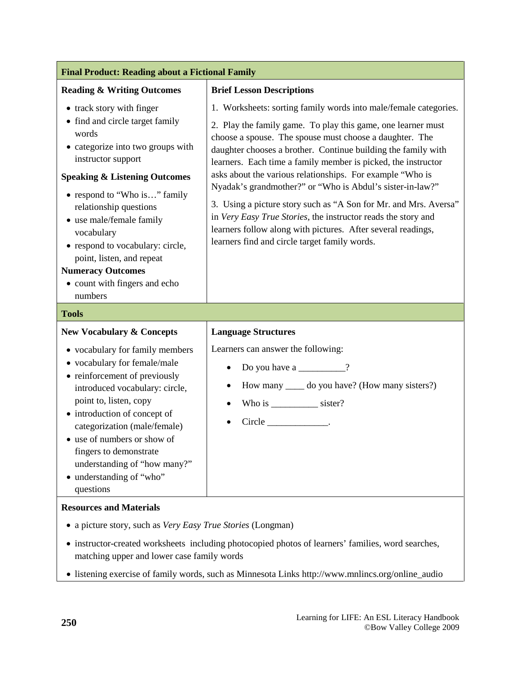| <b>Final Product: Reading about a Fictional Family</b>                                                                                                                                                                                                                                                                                                                                                                    |                                                                                                                                                                                                                                                                                                                                                                                                                                                                                                                                                                                                                                                                                                               |  |
|---------------------------------------------------------------------------------------------------------------------------------------------------------------------------------------------------------------------------------------------------------------------------------------------------------------------------------------------------------------------------------------------------------------------------|---------------------------------------------------------------------------------------------------------------------------------------------------------------------------------------------------------------------------------------------------------------------------------------------------------------------------------------------------------------------------------------------------------------------------------------------------------------------------------------------------------------------------------------------------------------------------------------------------------------------------------------------------------------------------------------------------------------|--|
| <b>Reading &amp; Writing Outcomes</b>                                                                                                                                                                                                                                                                                                                                                                                     | <b>Brief Lesson Descriptions</b>                                                                                                                                                                                                                                                                                                                                                                                                                                                                                                                                                                                                                                                                              |  |
| • track story with finger<br>• find and circle target family<br>words<br>• categorize into two groups with<br>instructor support<br><b>Speaking &amp; Listening Outcomes</b><br>• respond to "Who is" family<br>relationship questions<br>• use male/female family<br>vocabulary<br>• respond to vocabulary: circle,<br>point, listen, and repeat<br><b>Numeracy Outcomes</b><br>• count with fingers and echo<br>numbers | 1. Worksheets: sorting family words into male/female categories.<br>2. Play the family game. To play this game, one learner must<br>choose a spouse. The spouse must choose a daughter. The<br>daughter chooses a brother. Continue building the family with<br>learners. Each time a family member is picked, the instructor<br>asks about the various relationships. For example "Who is<br>Nyadak's grandmother?" or "Who is Abdul's sister-in-law?"<br>3. Using a picture story such as "A Son for Mr. and Mrs. Aversa"<br>in Very Easy True Stories, the instructor reads the story and<br>learners follow along with pictures. After several readings,<br>learners find and circle target family words. |  |
| <b>Tools</b>                                                                                                                                                                                                                                                                                                                                                                                                              |                                                                                                                                                                                                                                                                                                                                                                                                                                                                                                                                                                                                                                                                                                               |  |
| <b>New Vocabulary &amp; Concepts</b>                                                                                                                                                                                                                                                                                                                                                                                      | <b>Language Structures</b>                                                                                                                                                                                                                                                                                                                                                                                                                                                                                                                                                                                                                                                                                    |  |
| • vocabulary for family members<br>• vocabulary for female/male<br>• reinforcement of previously<br>introduced vocabulary: circle,<br>point to, listen, copy<br>• introduction of concept of<br>categorization (male/female)<br>• use of numbers or show of<br>fingers to demonstrate<br>understanding of "how many?"<br>• understanding of "who"<br>questions                                                            | Learners can answer the following:<br>Do you have a $\frac{ }{ }$ ?<br>How many ______ do you have? (How many sisters?)<br>Who is ____________ sister?<br>$Circle$ ________________.                                                                                                                                                                                                                                                                                                                                                                                                                                                                                                                          |  |
| <b>Resources and Materials</b>                                                                                                                                                                                                                                                                                                                                                                                            |                                                                                                                                                                                                                                                                                                                                                                                                                                                                                                                                                                                                                                                                                                               |  |

- a picture story, such as *Very Easy True Stories* (Longman)
- instructor-created worksheets including photocopied photos of learners' families, word searches, matching upper and lower case family words
- listening exercise of family words, such as Minnesota Links http://www.mnlincs.org/online\_audio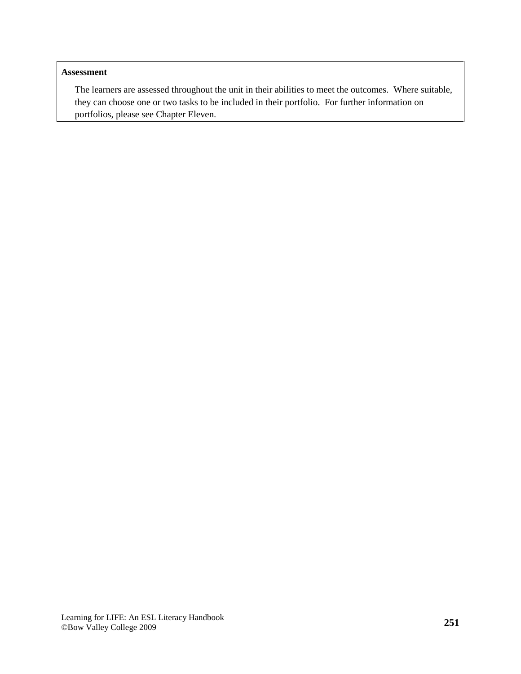#### **Assessment**

The learners are assessed throughout the unit in their abilities to meet the outcomes. Where suitable, they can choose one or two tasks to be included in their portfolio. For further information on portfolios, please see Chapter Eleven.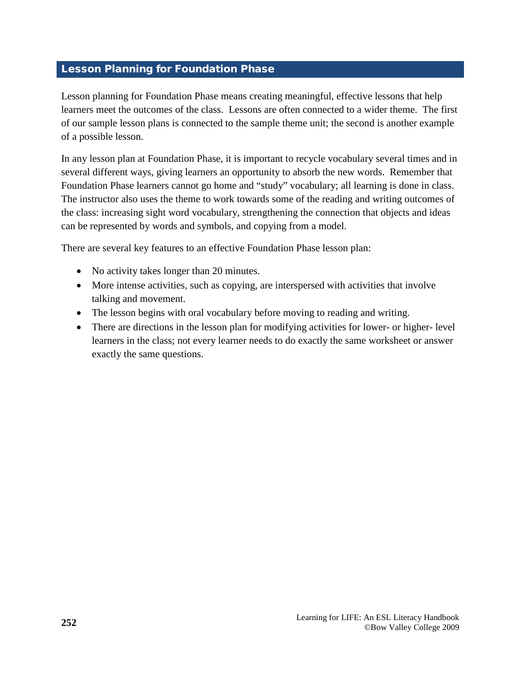#### <span id="page-29-0"></span>Lesson Planning for Foundation Phase

Lesson planning for Foundation Phase means creating meaningful, effective lessons that help learners meet the outcomes of the class. Lessons are often connected to a wider theme. The first of our sample lesson plans is connected to the sample theme unit; the second is another example of a possible lesson.

In any lesson plan at Foundation Phase, it is important to recycle vocabulary several times and in several different ways, giving learners an opportunity to absorb the new words. Remember that Foundation Phase learners cannot go home and "study" vocabulary; all learning is done in class. The instructor also uses the theme to work towards some of the reading and writing outcomes of the class: increasing sight word vocabulary, strengthening the connection that objects and ideas can be represented by words and symbols, and copying from a model.

There are several key features to an effective Foundation Phase lesson plan:

- No activity takes longer than 20 minutes.
- More intense activities, such as copying, are interspersed with activities that involve talking and movement.
- The lesson begins with oral vocabulary before moving to reading and writing.
- There are directions in the lesson plan for modifying activities for lower- or higher- level learners in the class; not every learner needs to do exactly the same worksheet or answer exactly the same questions.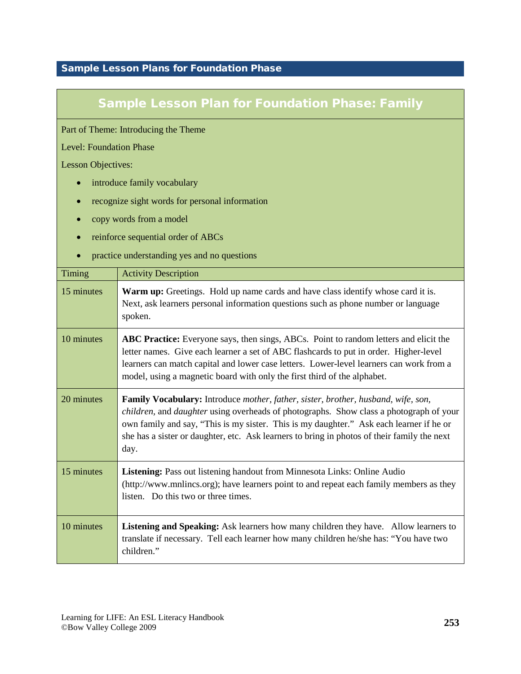#### <span id="page-30-0"></span>Sample Lesson Plans for Foundation Phase

#### Sample Lesson Plan for Foundation Phase: Family

Part of Theme: Introducing the Theme

Level: Foundation Phase

Lesson Objectives:

- introduce family vocabulary
- recognize sight words for personal information
- copy words from a model
- reinforce sequential order of ABCs
- practice understanding yes and no questions

| <b>Timing</b> | <b>Activity Description</b>                                                                                                                                                                                                                                                                                                                                                                  |
|---------------|----------------------------------------------------------------------------------------------------------------------------------------------------------------------------------------------------------------------------------------------------------------------------------------------------------------------------------------------------------------------------------------------|
| 15 minutes    | <b>Warm up:</b> Greetings. Hold up name cards and have class identify whose card it is.<br>Next, ask learners personal information questions such as phone number or language<br>spoken.                                                                                                                                                                                                     |
| 10 minutes    | <b>ABC Practice:</b> Everyone says, then sings, ABCs. Point to random letters and elicit the<br>letter names. Give each learner a set of ABC flashcards to put in order. Higher-level<br>learners can match capital and lower case letters. Lower-level learners can work from a<br>model, using a magnetic board with only the first third of the alphabet.                                 |
| 20 minutes    | Family Vocabulary: Introduce mother, father, sister, brother, husband, wife, son,<br><i>children</i> , and <i>daughter</i> using overheads of photographs. Show class a photograph of your<br>own family and say, "This is my sister. This is my daughter." Ask each learner if he or<br>she has a sister or daughter, etc. Ask learners to bring in photos of their family the next<br>day. |
| 15 minutes    | Listening: Pass out listening handout from Minnesota Links: Online Audio<br>(http://www.mnlincs.org); have learners point to and repeat each family members as they<br>listen. Do this two or three times.                                                                                                                                                                                   |
| 10 minutes    | <b>Listening and Speaking:</b> Ask learners how many children they have. Allow learners to<br>translate if necessary. Tell each learner how many children he/she has: "You have two<br>children."                                                                                                                                                                                            |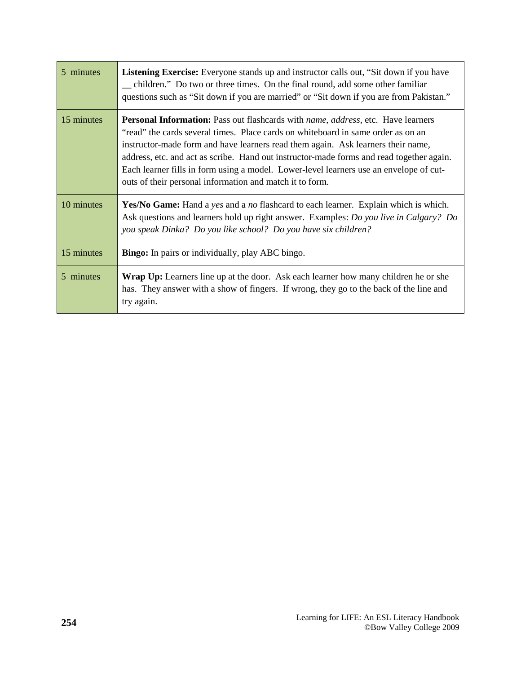| 5 minutes  | <b>Listening Exercise:</b> Everyone stands up and instructor calls out, "Sit down if you have<br>_ children." Do two or three times. On the final round, add some other familiar<br>questions such as "Sit down if you are married" or "Sit down if you are from Pakistan."                                                                                                                                                                                                                                                       |
|------------|-----------------------------------------------------------------------------------------------------------------------------------------------------------------------------------------------------------------------------------------------------------------------------------------------------------------------------------------------------------------------------------------------------------------------------------------------------------------------------------------------------------------------------------|
| 15 minutes | <b>Personal Information:</b> Pass out flashcards with <i>name</i> , <i>address</i> , etc. Have learners<br>"read" the cards several times. Place cards on whiteboard in same order as on an<br>instructor-made form and have learners read them again. Ask learners their name,<br>address, etc. and act as scribe. Hand out instructor-made forms and read together again.<br>Each learner fills in form using a model. Lower-level learners use an envelope of cut-<br>outs of their personal information and match it to form. |
| 10 minutes | <b>Yes/No Game:</b> Hand a yes and a no flashcard to each learner. Explain which is which.<br>Ask questions and learners hold up right answer. Examples: Do you live in Calgary? Do<br>you speak Dinka? Do you like school? Do you have six children?                                                                                                                                                                                                                                                                             |
| 15 minutes | <b>Bingo:</b> In pairs or individually, play ABC bingo.                                                                                                                                                                                                                                                                                                                                                                                                                                                                           |
| 5 minutes  | <b>Wrap Up:</b> Learners line up at the door. Ask each learner how many children he or she<br>has. They answer with a show of fingers. If wrong, they go to the back of the line and<br>try again.                                                                                                                                                                                                                                                                                                                                |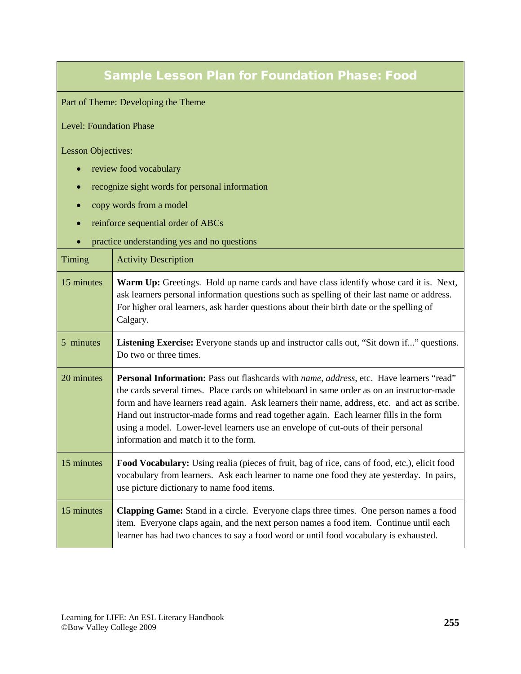#### Sample Lesson Plan for Foundation Phase: Food

Part of Theme: Developing the Theme

Level: Foundation Phase

Lesson Objectives:

- review food vocabulary
- recognize sight words for personal information
- copy words from a model
- reinforce sequential order of ABCs
- practice understanding yes and no questions

| Timing     | <b>Activity Description</b>                                                                                                                                                                                                                                                                                                                                                                                                                                                                                                         |
|------------|-------------------------------------------------------------------------------------------------------------------------------------------------------------------------------------------------------------------------------------------------------------------------------------------------------------------------------------------------------------------------------------------------------------------------------------------------------------------------------------------------------------------------------------|
| 15 minutes | <b>Warm Up:</b> Greetings. Hold up name cards and have class identify whose card it is. Next,<br>ask learners personal information questions such as spelling of their last name or address.<br>For higher oral learners, ask harder questions about their birth date or the spelling of<br>Calgary.                                                                                                                                                                                                                                |
| 5 minutes  | Listening Exercise: Everyone stands up and instructor calls out, "Sit down if" questions.<br>Do two or three times.                                                                                                                                                                                                                                                                                                                                                                                                                 |
| 20 minutes | <b>Personal Information:</b> Pass out flashcards with <i>name</i> , <i>address</i> , etc. Have learners "read"<br>the cards several times. Place cards on whiteboard in same order as on an instructor-made<br>form and have learners read again. Ask learners their name, address, etc. and act as scribe.<br>Hand out instructor-made forms and read together again. Each learner fills in the form<br>using a model. Lower-level learners use an envelope of cut-outs of their personal<br>information and match it to the form. |
| 15 minutes | Food Vocabulary: Using realia (pieces of fruit, bag of rice, cans of food, etc.), elicit food<br>vocabulary from learners. Ask each learner to name one food they ate yesterday. In pairs,<br>use picture dictionary to name food items.                                                                                                                                                                                                                                                                                            |
| 15 minutes | <b>Clapping Game:</b> Stand in a circle. Everyone claps three times. One person names a food<br>item. Everyone claps again, and the next person names a food item. Continue until each<br>learner has had two chances to say a food word or until food vocabulary is exhausted.                                                                                                                                                                                                                                                     |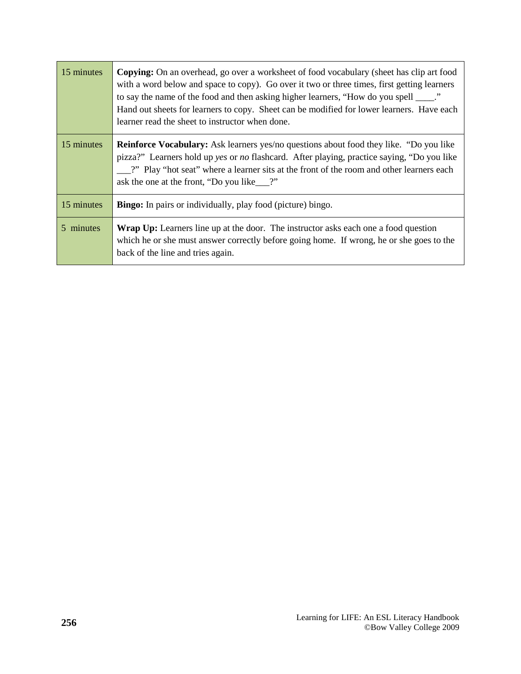| 15 minutes | <b>Copying:</b> On an overhead, go over a worksheet of food vocabulary (sheet has clip art food<br>with a word below and space to copy). Go over it two or three times, first getting learners<br>to say the name of the food and then asking higher learners, "How do you spell _____."<br>Hand out sheets for learners to copy. Sheet can be modified for lower learners. Have each<br>learner read the sheet to instructor when done. |
|------------|------------------------------------------------------------------------------------------------------------------------------------------------------------------------------------------------------------------------------------------------------------------------------------------------------------------------------------------------------------------------------------------------------------------------------------------|
| 15 minutes | <b>Reinforce Vocabulary:</b> Ask learners yes/no questions about food they like. "Do you like<br>pizza?" Learners hold up yes or no flashcard. After playing, practice saying, "Do you like<br>2" Play "hot seat" where a learner sits at the front of the room and other learners each<br>ask the one at the front, "Do you like__?"                                                                                                    |
| 15 minutes | <b>Bingo:</b> In pairs or individually, play food (picture) bingo.                                                                                                                                                                                                                                                                                                                                                                       |
| 5 minutes  | <b>Wrap Up:</b> Learners line up at the door. The instructor asks each one a food question<br>which he or she must answer correctly before going home. If wrong, he or she goes to the<br>back of the line and tries again.                                                                                                                                                                                                              |